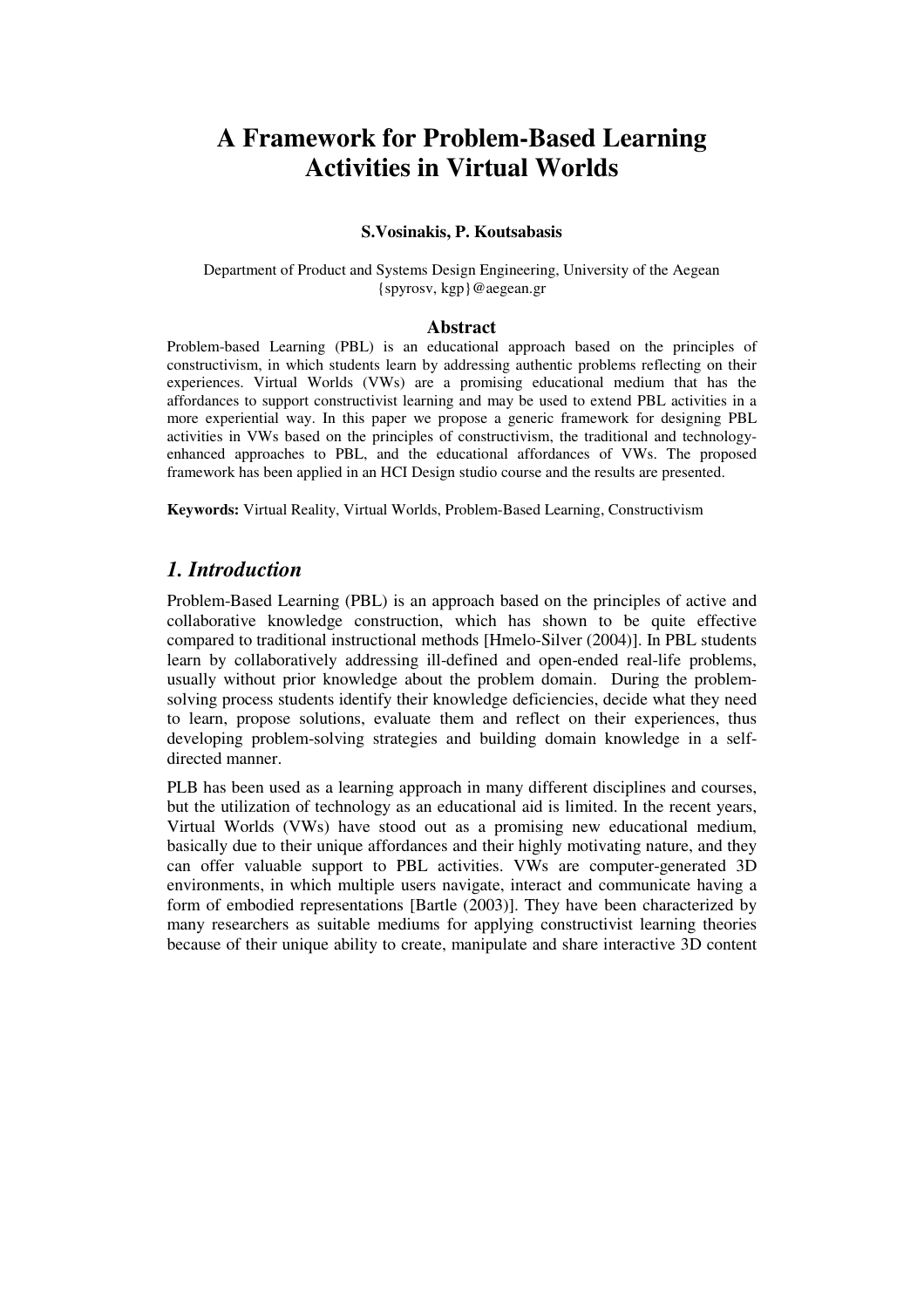# **A Framework for Problem-Based Learning Activities in Virtual Worlds**

#### **S.Vosinakis, P. Koutsabasis**

Department of Product and Systems Design Engineering, University of the Aegean {spyrosv, kgp}@aegean.gr

#### **Abstract**

Problem-based Learning (PBL) is an educational approach based on the principles of constructivism, in which students learn by addressing authentic problems reflecting on their experiences. Virtual Worlds (VWs) are a promising educational medium that has the affordances to support constructivist learning and may be used to extend PBL activities in a more experiential way. In this paper we propose a generic framework for designing PBL activities in VWs based on the principles of constructivism, the traditional and technologyenhanced approaches to PBL, and the educational affordances of VWs. The proposed framework has been applied in an HCI Design studio course and the results are presented.

**Keywords:** Virtual Reality, Virtual Worlds, Problem-Based Learning, Constructivism

# *1. Introduction*

Problem-Based Learning (PBL) is an approach based on the principles of active and collaborative knowledge construction, which has shown to be quite effective compared to traditional instructional methods [Hmelo-Silver (2004)]. In PBL students learn by collaboratively addressing ill-defined and open-ended real-life problems, usually without prior knowledge about the problem domain. During the problemsolving process students identify their knowledge deficiencies, decide what they need to learn, propose solutions, evaluate them and reflect on their experiences, thus developing problem-solving strategies and building domain knowledge in a selfdirected manner.

PLB has been used as a learning approach in many different disciplines and courses, but the utilization of technology as an educational aid is limited. In the recent years, Virtual Worlds (VWs) have stood out as a promising new educational medium, basically due to their unique affordances and their highly motivating nature, and they can offer valuable support to PBL activities. VWs are computer-generated 3D environments, in which multiple users navigate, interact and communicate having a form of embodied representations [Bartle (2003)]. They have been characterized by many researchers as suitable mediums for applying constructivist learning theories because of their unique ability to create, manipulate and share interactive 3D content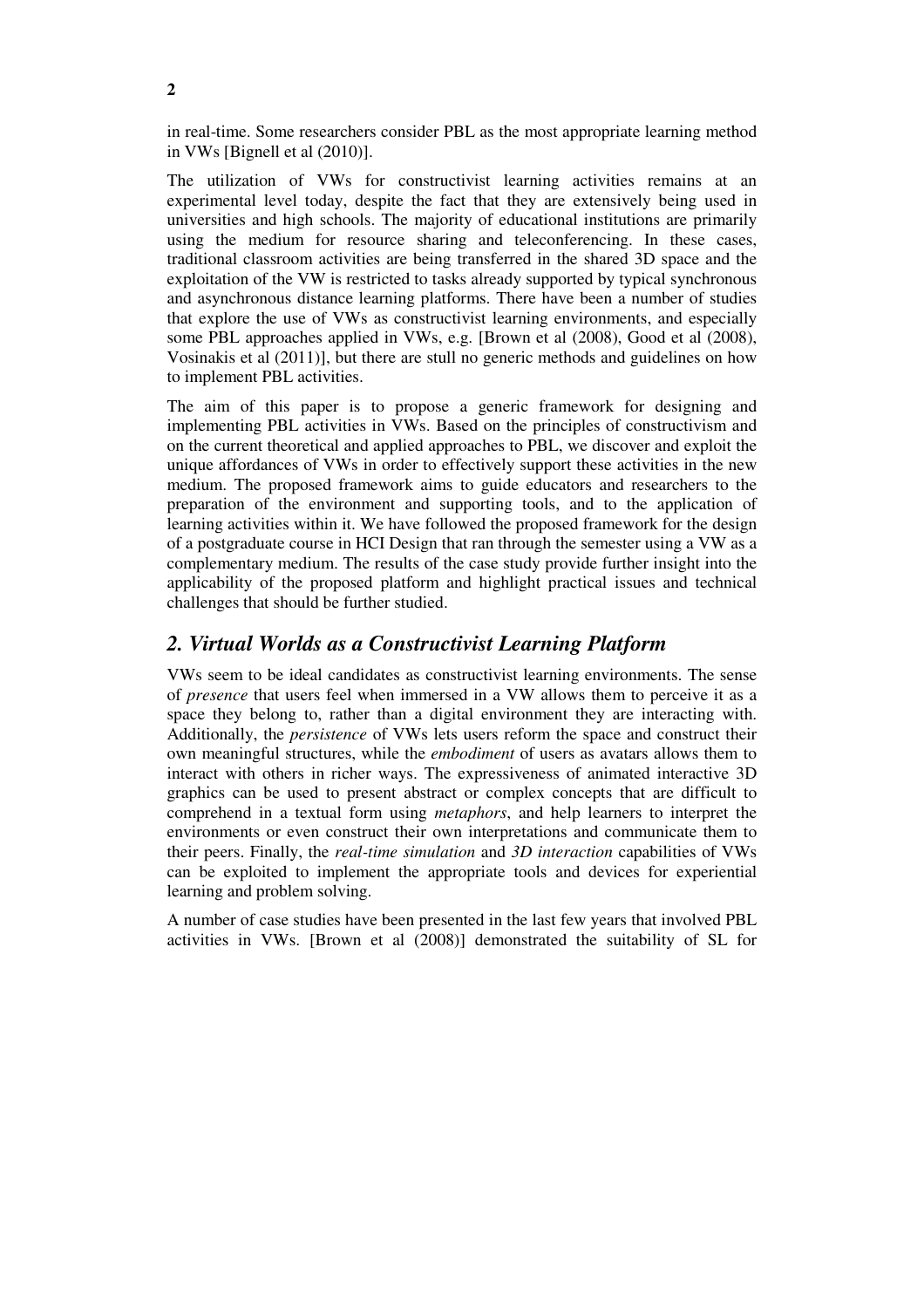in real-time. Some researchers consider PBL as the most appropriate learning method in VWs [Bignell et al (2010)].

The utilization of VWs for constructivist learning activities remains at an experimental level today, despite the fact that they are extensively being used in universities and high schools. The majority of educational institutions are primarily using the medium for resource sharing and teleconferencing. In these cases, traditional classroom activities are being transferred in the shared 3D space and the exploitation of the VW is restricted to tasks already supported by typical synchronous and asynchronous distance learning platforms. There have been a number of studies that explore the use of VWs as constructivist learning environments, and especially some PBL approaches applied in VWs, e.g. [Brown et al (2008), Good et al (2008), Vosinakis et al (2011)], but there are stull no generic methods and guidelines on how to implement PBL activities.

The aim of this paper is to propose a generic framework for designing and implementing PBL activities in VWs. Based on the principles of constructivism and on the current theoretical and applied approaches to PBL, we discover and exploit the unique affordances of VWs in order to effectively support these activities in the new medium. The proposed framework aims to guide educators and researchers to the preparation of the environment and supporting tools, and to the application of learning activities within it. We have followed the proposed framework for the design of a postgraduate course in HCI Design that ran through the semester using a VW as a complementary medium. The results of the case study provide further insight into the applicability of the proposed platform and highlight practical issues and technical challenges that should be further studied.

# *2. Virtual Worlds as a Constructivist Learning Platform*

VWs seem to be ideal candidates as constructivist learning environments. The sense of *presence* that users feel when immersed in a VW allows them to perceive it as a space they belong to, rather than a digital environment they are interacting with. Additionally, the *persistence* of VWs lets users reform the space and construct their own meaningful structures, while the *embodiment* of users as avatars allows them to interact with others in richer ways. The expressiveness of animated interactive 3D graphics can be used to present abstract or complex concepts that are difficult to comprehend in a textual form using *metaphors*, and help learners to interpret the environments or even construct their own interpretations and communicate them to their peers. Finally, the *real-time simulation* and *3D interaction* capabilities of VWs can be exploited to implement the appropriate tools and devices for experiential learning and problem solving.

A number of case studies have been presented in the last few years that involved PBL activities in VWs. [Brown et al (2008)] demonstrated the suitability of SL for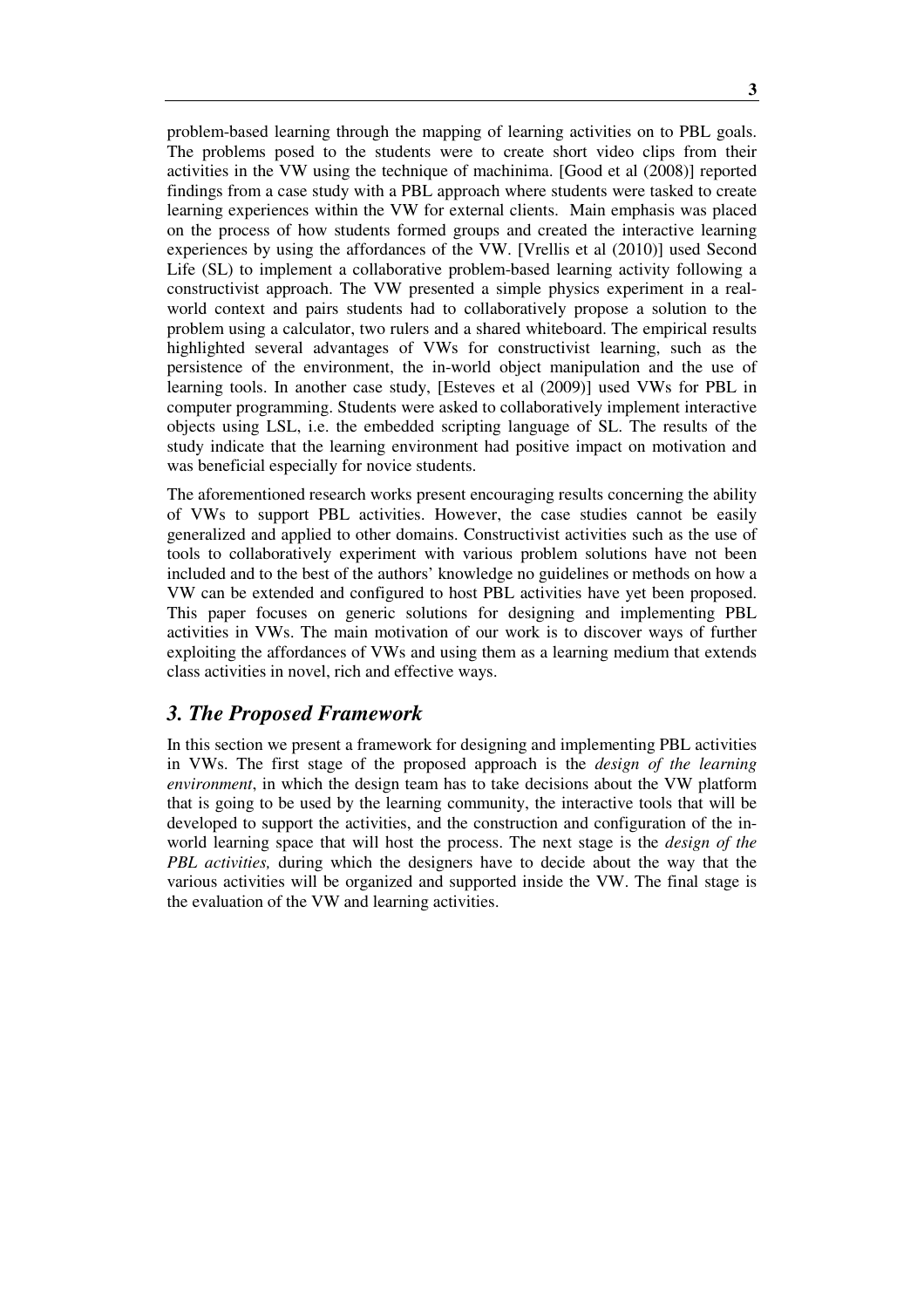problem-based learning through the mapping of learning activities on to PBL goals. The problems posed to the students were to create short video clips from their activities in the VW using the technique of machinima. [Good et al (2008)] reported findings from a case study with a PBL approach where students were tasked to create learning experiences within the VW for external clients. Main emphasis was placed on the process of how students formed groups and created the interactive learning experiences by using the affordances of the VW. [Vrellis et al (2010)] used Second Life (SL) to implement a collaborative problem-based learning activity following a constructivist approach. The VW presented a simple physics experiment in a realworld context and pairs students had to collaboratively propose a solution to the problem using a calculator, two rulers and a shared whiteboard. The empirical results highlighted several advantages of VWs for constructivist learning, such as the persistence of the environment, the in-world object manipulation and the use of learning tools. In another case study, [Esteves et al (2009)] used VWs for PBL in computer programming. Students were asked to collaboratively implement interactive objects using LSL, i.e. the embedded scripting language of SL. The results of the study indicate that the learning environment had positive impact on motivation and was beneficial especially for novice students.

The aforementioned research works present encouraging results concerning the ability of VWs to support PBL activities. However, the case studies cannot be easily generalized and applied to other domains. Constructivist activities such as the use of tools to collaboratively experiment with various problem solutions have not been included and to the best of the authors' knowledge no guidelines or methods on how a VW can be extended and configured to host PBL activities have yet been proposed. This paper focuses on generic solutions for designing and implementing PBL activities in VWs. The main motivation of our work is to discover ways of further exploiting the affordances of VWs and using them as a learning medium that extends class activities in novel, rich and effective ways.

# *3. The Proposed Framework*

In this section we present a framework for designing and implementing PBL activities in VWs. The first stage of the proposed approach is the *design of the learning environment*, in which the design team has to take decisions about the VW platform that is going to be used by the learning community, the interactive tools that will be developed to support the activities, and the construction and configuration of the inworld learning space that will host the process. The next stage is the *design of the PBL activities,* during which the designers have to decide about the way that the various activities will be organized and supported inside the VW. The final stage is the evaluation of the VW and learning activities.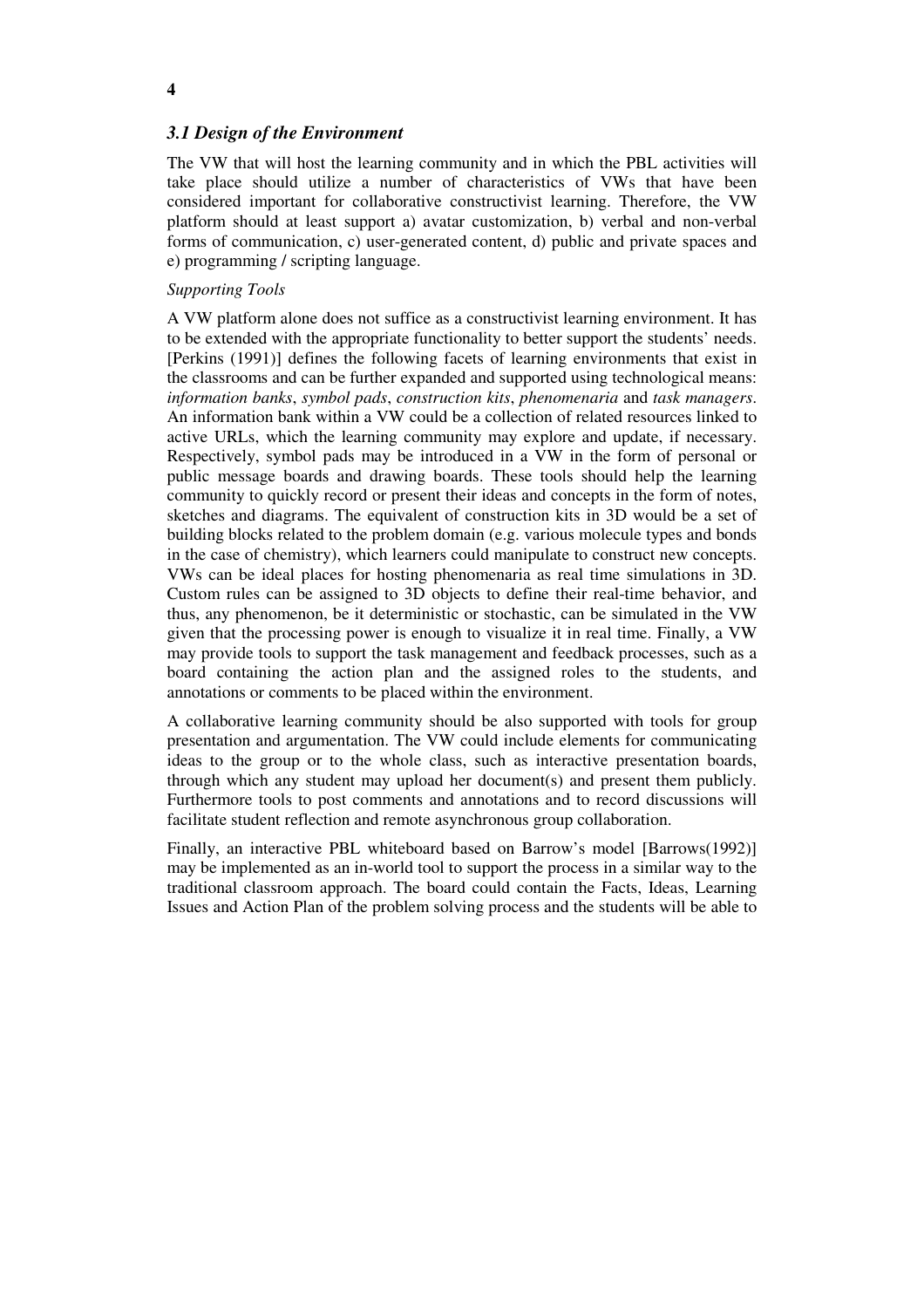### *3.1 Design of the Environment*

The VW that will host the learning community and in which the PBL activities will take place should utilize a number of characteristics of VWs that have been considered important for collaborative constructivist learning. Therefore, the VW platform should at least support a) avatar customization, b) verbal and non-verbal forms of communication, c) user-generated content, d) public and private spaces and e) programming / scripting language.

#### *Supporting Tools*

A VW platform alone does not suffice as a constructivist learning environment. It has to be extended with the appropriate functionality to better support the students' needs. [Perkins (1991)] defines the following facets of learning environments that exist in the classrooms and can be further expanded and supported using technological means: *information banks*, *symbol pads*, *construction kits*, *phenomenaria* and *task managers*. An information bank within a VW could be a collection of related resources linked to active URLs, which the learning community may explore and update, if necessary. Respectively, symbol pads may be introduced in a VW in the form of personal or public message boards and drawing boards. These tools should help the learning community to quickly record or present their ideas and concepts in the form of notes, sketches and diagrams. The equivalent of construction kits in 3D would be a set of building blocks related to the problem domain (e.g. various molecule types and bonds in the case of chemistry), which learners could manipulate to construct new concepts. VWs can be ideal places for hosting phenomenaria as real time simulations in 3D. Custom rules can be assigned to 3D objects to define their real-time behavior, and thus, any phenomenon, be it deterministic or stochastic, can be simulated in the VW given that the processing power is enough to visualize it in real time. Finally, a VW may provide tools to support the task management and feedback processes, such as a board containing the action plan and the assigned roles to the students, and annotations or comments to be placed within the environment.

A collaborative learning community should be also supported with tools for group presentation and argumentation. The VW could include elements for communicating ideas to the group or to the whole class, such as interactive presentation boards, through which any student may upload her document(s) and present them publicly. Furthermore tools to post comments and annotations and to record discussions will facilitate student reflection and remote asynchronous group collaboration.

Finally, an interactive PBL whiteboard based on Barrow's model [Barrows(1992)] may be implemented as an in-world tool to support the process in a similar way to the traditional classroom approach. The board could contain the Facts, Ideas, Learning Issues and Action Plan of the problem solving process and the students will be able to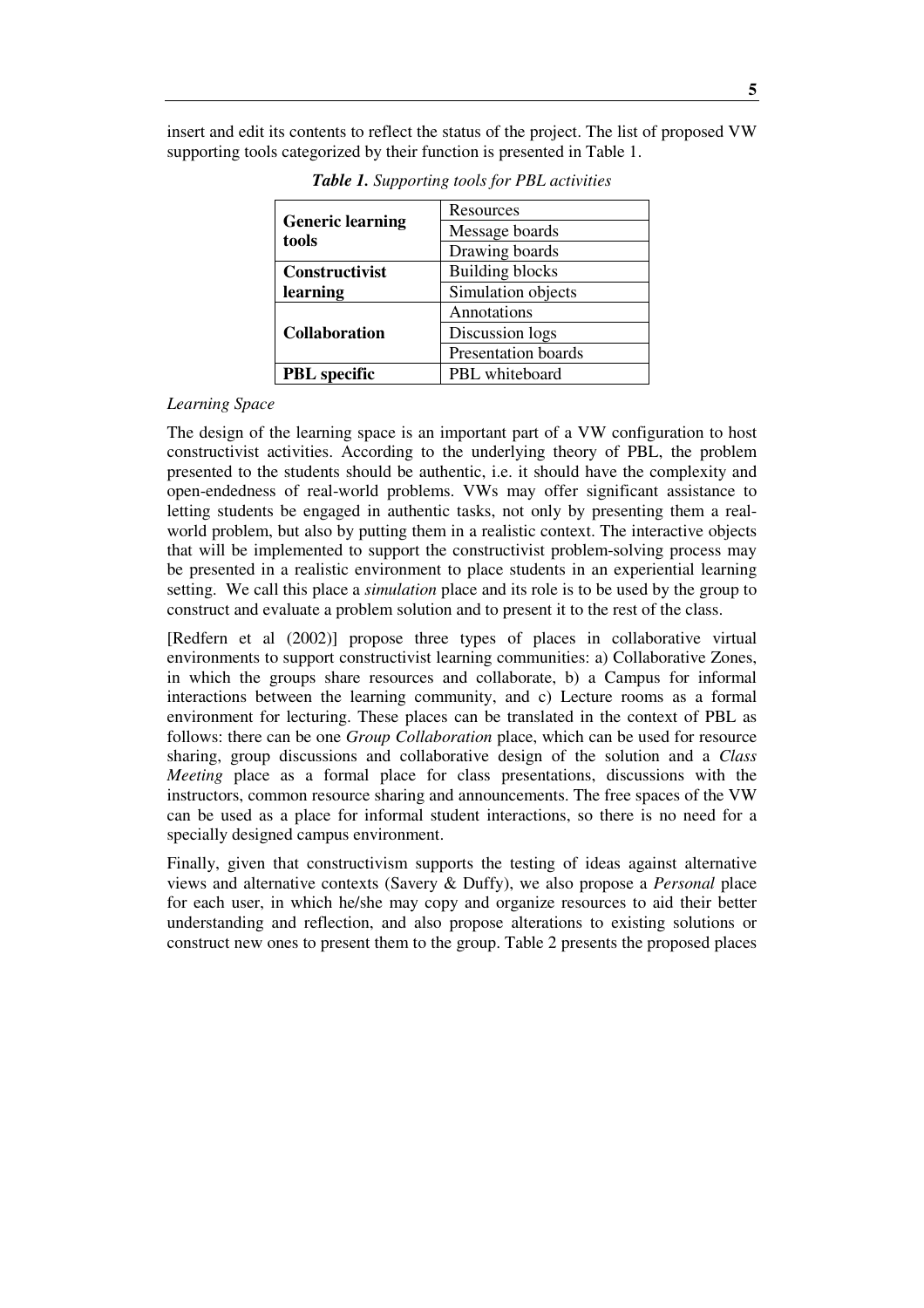insert and edit its contents to reflect the status of the project. The list of proposed VW supporting tools categorized by their function is presented in Table 1.

| <b>Generic learning</b><br>tools | Resources                  |
|----------------------------------|----------------------------|
|                                  | Message boards             |
|                                  | Drawing boards             |
| Constructivist                   | <b>Building blocks</b>     |
| learning                         | Simulation objects         |
| <b>Collaboration</b>             | Annotations                |
|                                  | Discussion logs            |
|                                  | <b>Presentation boards</b> |
| <b>PBL</b> specific              | PBL whiteboard             |

*Table 1. Supporting tools for PBL activities* 

#### *Learning Space*

The design of the learning space is an important part of a VW configuration to host constructivist activities. According to the underlying theory of PBL, the problem presented to the students should be authentic, i.e. it should have the complexity and open-endedness of real-world problems. VWs may offer significant assistance to letting students be engaged in authentic tasks, not only by presenting them a realworld problem, but also by putting them in a realistic context. The interactive objects that will be implemented to support the constructivist problem-solving process may be presented in a realistic environment to place students in an experiential learning setting. We call this place a *simulation* place and its role is to be used by the group to construct and evaluate a problem solution and to present it to the rest of the class.

[Redfern et al (2002)] propose three types of places in collaborative virtual environments to support constructivist learning communities: a) Collaborative Zones, in which the groups share resources and collaborate, b) a Campus for informal interactions between the learning community, and c) Lecture rooms as a formal environment for lecturing. These places can be translated in the context of PBL as follows: there can be one *Group Collaboration* place, which can be used for resource sharing, group discussions and collaborative design of the solution and a *Class Meeting* place as a formal place for class presentations, discussions with the instructors, common resource sharing and announcements. The free spaces of the VW can be used as a place for informal student interactions, so there is no need for a specially designed campus environment.

Finally, given that constructivism supports the testing of ideas against alternative views and alternative contexts (Savery & Duffy), we also propose a *Personal* place for each user, in which he/she may copy and organize resources to aid their better understanding and reflection, and also propose alterations to existing solutions or construct new ones to present them to the group. Table 2 presents the proposed places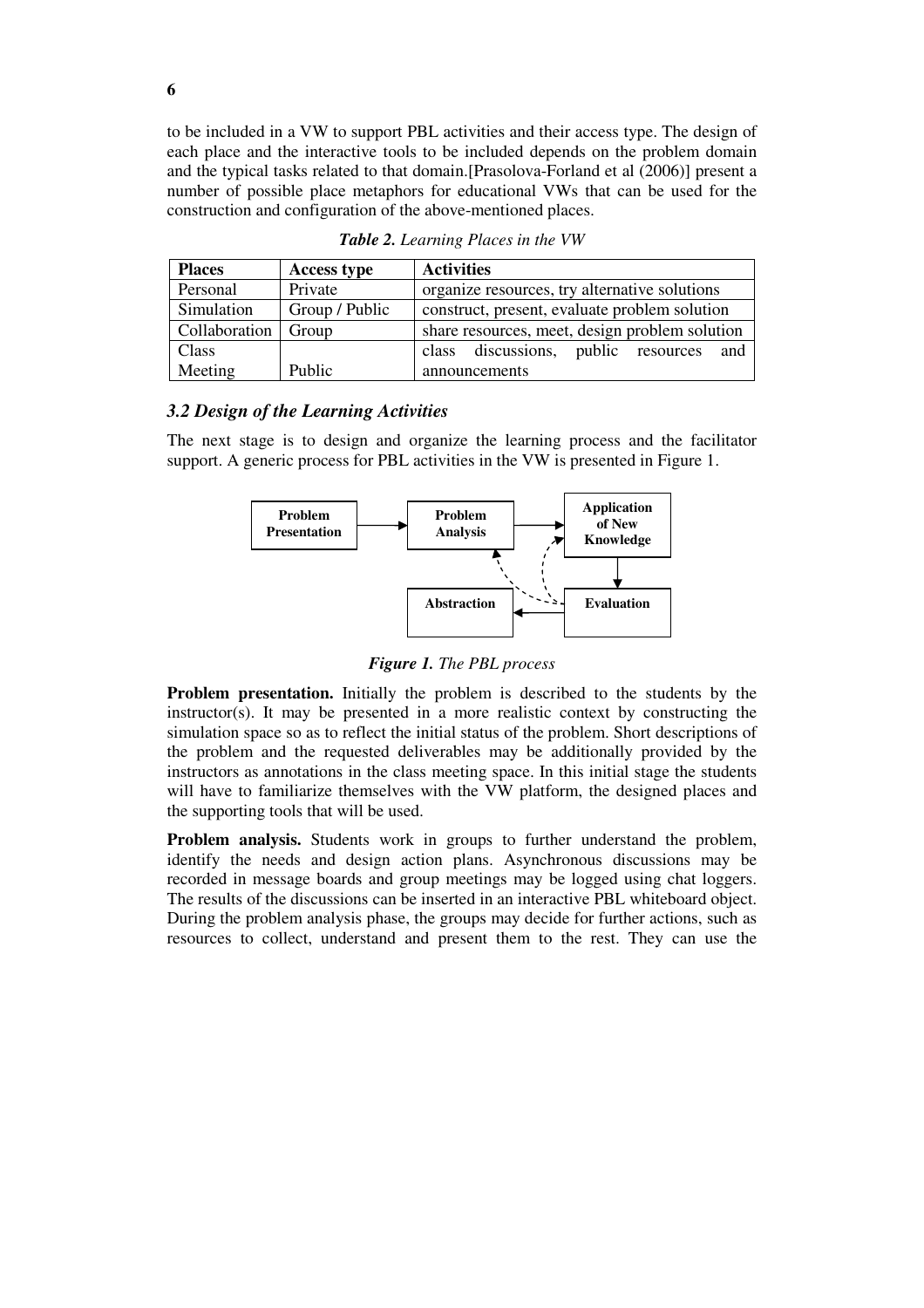to be included in a VW to support PBL activities and their access type. The design of each place and the interactive tools to be included depends on the problem domain and the typical tasks related to that domain.[Prasolova-Forland et al (2006)] present a number of possible place metaphors for educational VWs that can be used for the construction and configuration of the above-mentioned places.

| <b>Places</b>         | <b>Access type</b> | <b>Activities</b>                              |
|-----------------------|--------------------|------------------------------------------------|
| Personal              | Private            | organize resources, try alternative solutions  |
| Simulation            | Group / Public     | construct, present, evaluate problem solution  |
| Collaboration   Group |                    | share resources, meet, design problem solution |
| Class                 |                    | discussions, public resources<br>and<br>class  |
| Meeting               | Public             | announcements                                  |

*Table 2. Learning Places in the VW* 

#### *3.2 Design of the Learning Activities*

The next stage is to design and organize the learning process and the facilitator support. A generic process for PBL activities in the VW is presented in Figure 1.



*Figure 1. The PBL process* 

**Problem presentation.** Initially the problem is described to the students by the instructor(s). It may be presented in a more realistic context by constructing the simulation space so as to reflect the initial status of the problem. Short descriptions of the problem and the requested deliverables may be additionally provided by the instructors as annotations in the class meeting space. In this initial stage the students will have to familiarize themselves with the VW platform, the designed places and the supporting tools that will be used.

**Problem analysis.** Students work in groups to further understand the problem, identify the needs and design action plans. Asynchronous discussions may be recorded in message boards and group meetings may be logged using chat loggers. The results of the discussions can be inserted in an interactive PBL whiteboard object. During the problem analysis phase, the groups may decide for further actions, such as resources to collect, understand and present them to the rest. They can use the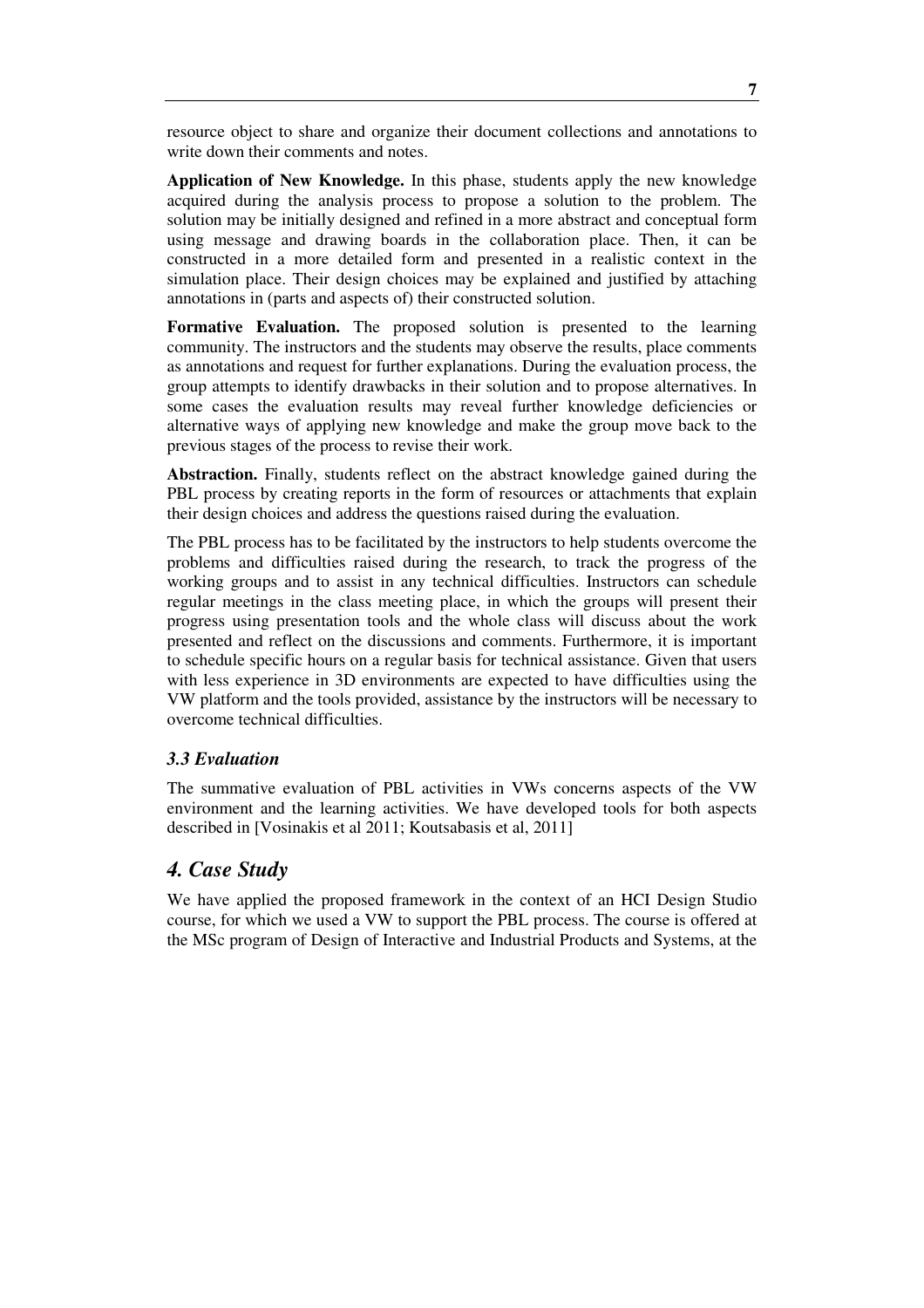resource object to share and organize their document collections and annotations to write down their comments and notes.

**Application of New Knowledge.** In this phase, students apply the new knowledge acquired during the analysis process to propose a solution to the problem. The solution may be initially designed and refined in a more abstract and conceptual form using message and drawing boards in the collaboration place. Then, it can be constructed in a more detailed form and presented in a realistic context in the simulation place. Their design choices may be explained and justified by attaching annotations in (parts and aspects of) their constructed solution.

**Formative Evaluation.** The proposed solution is presented to the learning community. The instructors and the students may observe the results, place comments as annotations and request for further explanations. During the evaluation process, the group attempts to identify drawbacks in their solution and to propose alternatives. In some cases the evaluation results may reveal further knowledge deficiencies or alternative ways of applying new knowledge and make the group move back to the previous stages of the process to revise their work.

**Abstraction.** Finally, students reflect on the abstract knowledge gained during the PBL process by creating reports in the form of resources or attachments that explain their design choices and address the questions raised during the evaluation.

The PBL process has to be facilitated by the instructors to help students overcome the problems and difficulties raised during the research, to track the progress of the working groups and to assist in any technical difficulties. Instructors can schedule regular meetings in the class meeting place, in which the groups will present their progress using presentation tools and the whole class will discuss about the work presented and reflect on the discussions and comments. Furthermore, it is important to schedule specific hours on a regular basis for technical assistance. Given that users with less experience in 3D environments are expected to have difficulties using the VW platform and the tools provided, assistance by the instructors will be necessary to overcome technical difficulties.

#### *3.3 Evaluation*

The summative evaluation of PBL activities in VWs concerns aspects of the VW environment and the learning activities. We have developed tools for both aspects described in [Vosinakis et al 2011; Koutsabasis et al, 2011]

## *4. Case Study*

We have applied the proposed framework in the context of an HCI Design Studio course, for which we used a VW to support the PBL process. The course is offered at the MSc program of Design of Interactive and Industrial Products and Systems, at the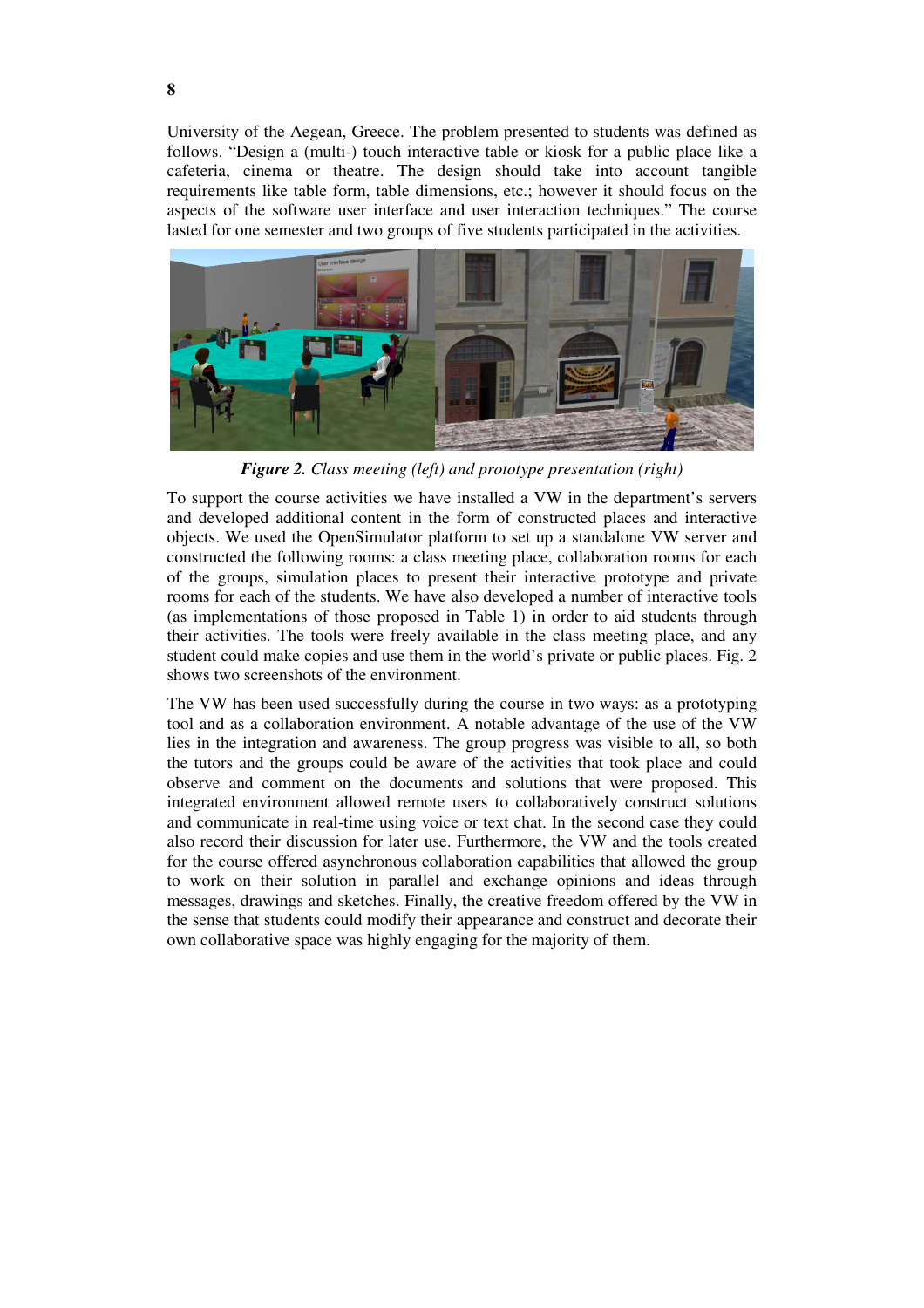University of the Aegean, Greece. The problem presented to students was defined as follows. "Design a (multi-) touch interactive table or kiosk for a public place like a cafeteria, cinema or theatre. The design should take into account tangible requirements like table form, table dimensions, etc.; however it should focus on the aspects of the software user interface and user interaction techniques." The course lasted for one semester and two groups of five students participated in the activities.



*Figure 2. Class meeting (left) and prototype presentation (right)* 

To support the course activities we have installed a VW in the department's servers and developed additional content in the form of constructed places and interactive objects. We used the OpenSimulator platform to set up a standalone VW server and constructed the following rooms: a class meeting place, collaboration rooms for each of the groups, simulation places to present their interactive prototype and private rooms for each of the students. We have also developed a number of interactive tools (as implementations of those proposed in Table 1) in order to aid students through their activities. The tools were freely available in the class meeting place, and any student could make copies and use them in the world's private or public places. Fig. 2 shows two screenshots of the environment.

The VW has been used successfully during the course in two ways: as a prototyping tool and as a collaboration environment. A notable advantage of the use of the VW lies in the integration and awareness. The group progress was visible to all, so both the tutors and the groups could be aware of the activities that took place and could observe and comment on the documents and solutions that were proposed. This integrated environment allowed remote users to collaboratively construct solutions and communicate in real-time using voice or text chat. In the second case they could also record their discussion for later use. Furthermore, the VW and the tools created for the course offered asynchronous collaboration capabilities that allowed the group to work on their solution in parallel and exchange opinions and ideas through messages, drawings and sketches. Finally, the creative freedom offered by the VW in the sense that students could modify their appearance and construct and decorate their own collaborative space was highly engaging for the majority of them.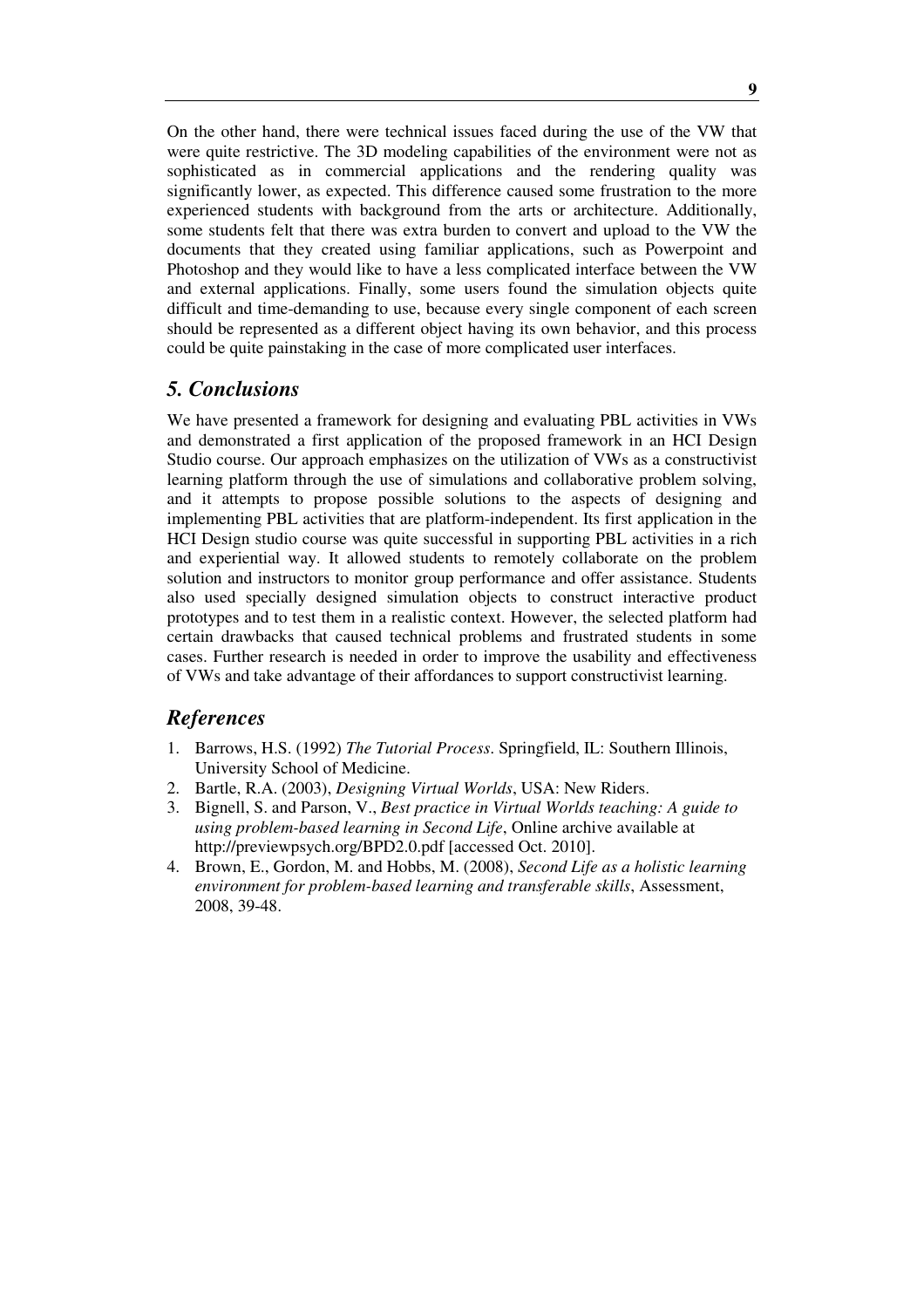On the other hand, there were technical issues faced during the use of the VW that were quite restrictive. The 3D modeling capabilities of the environment were not as sophisticated as in commercial applications and the rendering quality was significantly lower, as expected. This difference caused some frustration to the more experienced students with background from the arts or architecture. Additionally, some students felt that there was extra burden to convert and upload to the VW the documents that they created using familiar applications, such as Powerpoint and Photoshop and they would like to have a less complicated interface between the VW and external applications. Finally, some users found the simulation objects quite difficult and time-demanding to use, because every single component of each screen should be represented as a different object having its own behavior, and this process could be quite painstaking in the case of more complicated user interfaces.

#### *5. Conclusions*

We have presented a framework for designing and evaluating PBL activities in VWs and demonstrated a first application of the proposed framework in an HCI Design Studio course. Our approach emphasizes on the utilization of VWs as a constructivist learning platform through the use of simulations and collaborative problem solving, and it attempts to propose possible solutions to the aspects of designing and implementing PBL activities that are platform-independent. Its first application in the HCI Design studio course was quite successful in supporting PBL activities in a rich and experiential way. It allowed students to remotely collaborate on the problem solution and instructors to monitor group performance and offer assistance. Students also used specially designed simulation objects to construct interactive product prototypes and to test them in a realistic context. However, the selected platform had certain drawbacks that caused technical problems and frustrated students in some cases. Further research is needed in order to improve the usability and effectiveness of VWs and take advantage of their affordances to support constructivist learning.

## *References*

- 1. Barrows, H.S. (1992) *The Tutorial Process*. Springfield, IL: Southern Illinois, University School of Medicine.
- 2. Bartle, R.A. (2003), *Designing Virtual Worlds*, USA: New Riders.
- 3. Bignell, S. and Parson, V., *Best practice in Virtual Worlds teaching: A guide to using problem-based learning in Second Life*, Online archive available at http://previewpsych.org/BPD2.0.pdf [accessed Oct. 2010].
- 4. Brown, E., Gordon, M. and Hobbs, M. (2008), *Second Life as a holistic learning environment for problem-based learning and transferable skills*, Assessment, 2008, 39-48.